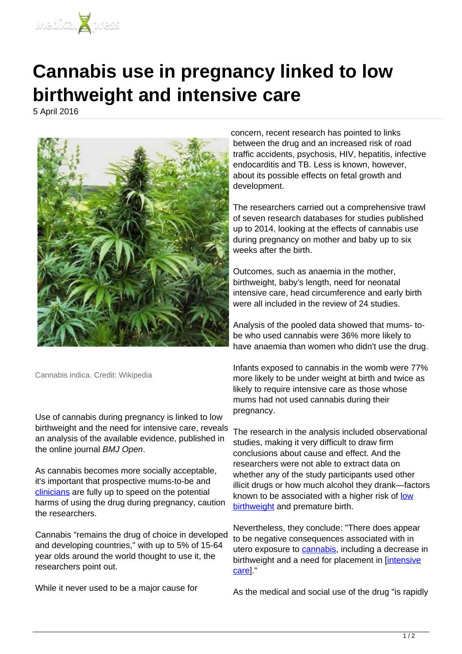

## **Cannabis use in pregnancy linked to low birthweight and intensive care**

5 April 2016



Cannabis indica. Credit: Wikipedia

Use of cannabis during pregnancy is linked to low birthweight and the need for intensive care, reveals an analysis of the available evidence, published in the online journal BMJ Open.

As cannabis becomes more socially acceptable, it's important that prospective mums-to-be and [clinicians](http://medicalxpress.com/tags/clinicians/) are fully up to speed on the potential harms of using the drug during pregnancy, caution the researchers.

Cannabis "remains the drug of choice in developed and developing countries," with up to 5% of 15-64 year olds around the world thought to use it, the researchers point out.

While it never used to be a major cause for

concern, recent research has pointed to links between the drug and an increased risk of road traffic accidents, psychosis, HIV, hepatitis, infective endocarditis and TB. Less is known, however, about its possible effects on fetal growth and development.

The researchers carried out a comprehensive trawl of seven research databases for studies published up to 2014, looking at the effects of cannabis use during pregnancy on mother and baby up to six weeks after the birth.

Outcomes, such as anaemia in the mother, birthweight, baby's length, need for neonatal intensive care, head circumference and early birth were all included in the review of 24 studies.

Analysis of the pooled data showed that mums- tobe who used cannabis were 36% more likely to have anaemia than women who didn't use the drug.

Infants exposed to cannabis in the womb were 77% more likely to be under weight at birth and twice as likely to require intensive care as those whose mums had not used cannabis during their pregnancy.

The research in the analysis included observational studies, making it very difficult to draw firm conclusions about cause and effect. And the researchers were not able to extract data on whether any of the study participants used other illicit drugs or how much alcohol they drank—factors known to be associated with a higher risk of [low](http://medicalxpress.com/tags/low+birthweight/) [birthweight](http://medicalxpress.com/tags/low+birthweight/) and premature birth.

Nevertheless, they conclude: "There does appear to be negative consequences associated with in utero exposure to [cannabis](http://medicalxpress.com/tags/cannabis/), including a decrease in birthweight and a need for placement in [\[intensive](http://medicalxpress.com/tags/intensive+care/) [care\]](http://medicalxpress.com/tags/intensive+care/)."

As the medical and social use of the drug "is rapidly